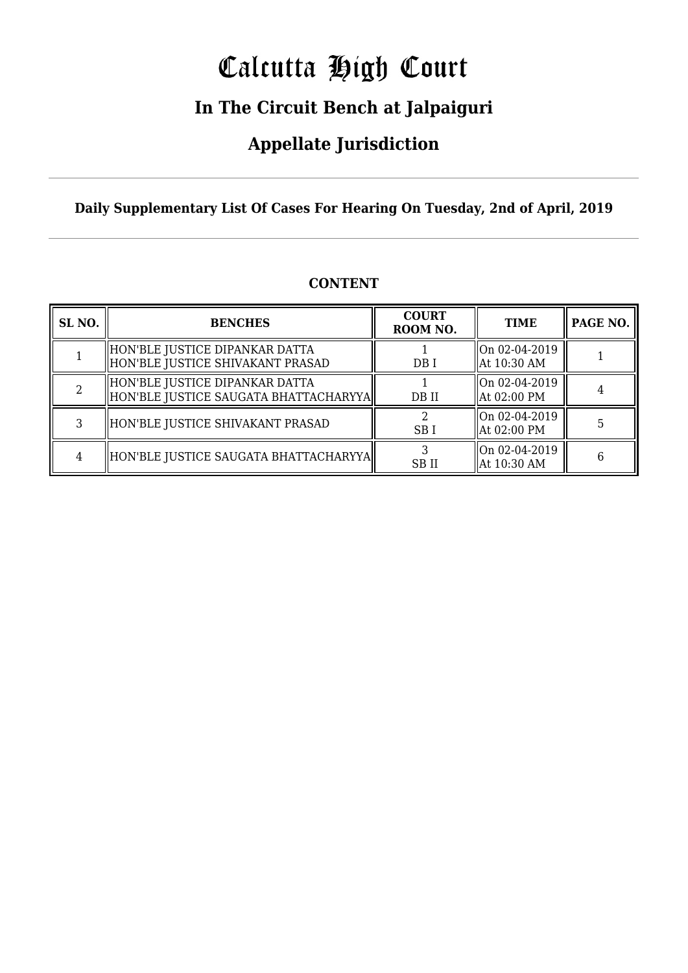# Calcutta High Court

### **In The Circuit Bench at Jalpaiguri**

### **Appellate Jurisdiction**

**Daily Supplementary List Of Cases For Hearing On Tuesday, 2nd of April, 2019**

| SL <sub>NO.</sub> | <b>BENCHES</b>                                                            | <b>COURT</b><br>ROOM NO. | <b>TIME</b>                     | PAGE NO. |
|-------------------|---------------------------------------------------------------------------|--------------------------|---------------------------------|----------|
|                   | HON'BLE JUSTICE DIPANKAR DATTA<br>HON'BLE JUSTICE SHIVAKANT PRASAD        | DB I                     | On 02-04-2019<br>  At 10:30 AM  |          |
|                   | HON'BLE JUSTICE DIPANKAR DATTA<br>  HON'BLE JUSTICE SAUGATA BHATTACHARYYA | DB II                    | On 02-04-2019 <br>  At 02:00 PM |          |
|                   | HON'BLE JUSTICE SHIVAKANT PRASAD                                          | SB <sub>I</sub>          | On 02-04-2019 <br>  At 02:00 PM |          |
|                   | HON'BLE JUSTICE SAUGATA BHATTACHARYYA                                     | <b>SBII</b>              | On 02-04-2019<br>  At 10:30 AM  | 6        |

#### **CONTENT**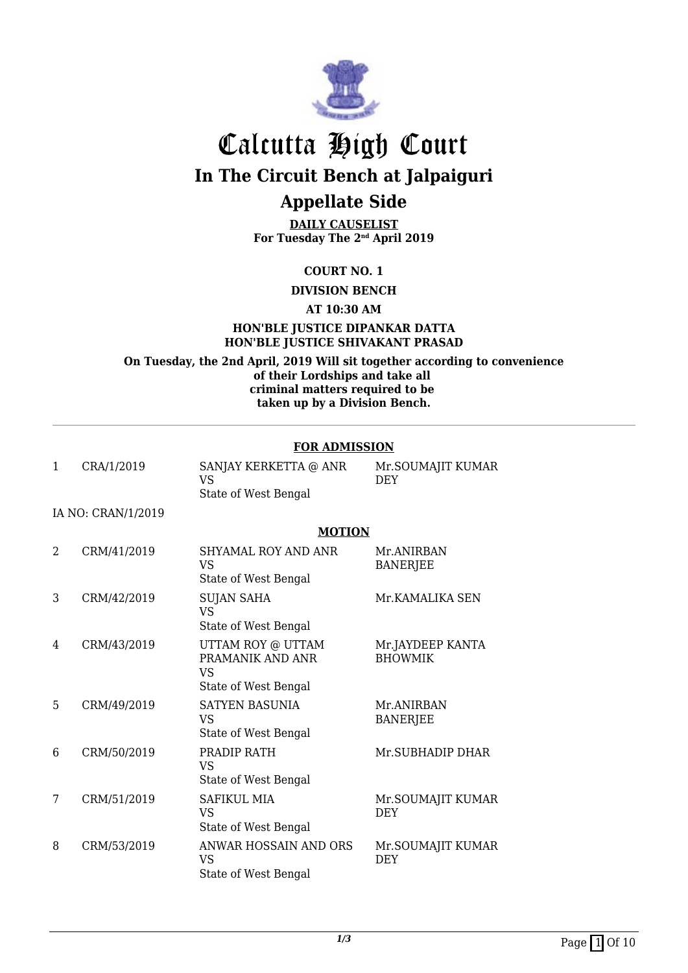

**DAILY CAUSELIST For Tuesday The 2nd April 2019**

#### **COURT NO. 1**

**DIVISION BENCH**

#### **AT 10:30 AM**

#### **HON'BLE JUSTICE DIPANKAR DATTA HON'BLE JUSTICE SHIVAKANT PRASAD**

**On Tuesday, the 2nd April, 2019 Will sit together according to convenience of their Lordships and take all criminal matters required to be taken up by a Division Bench.**

#### **FOR ADMISSION**

| SANJAY KERKETTA @ ANR<br>VS | Mr.SOUMAJIT KUMAR<br>DEY |
|-----------------------------|--------------------------|
| State of West Bengal        |                          |
|                             |                          |
|                             |                          |
|                             | <b>MOTION</b>            |

#### 2 CRM/41/2019 SHYAMAL ROY AND ANR VS State of West Bengal Mr.ANIRBAN BANERJEE 3 CRM/42/2019 SUJAN SAHA VS State of West Bengal Mr.KAMALIKA SEN 4 CRM/43/2019 UTTAM ROY @ UTTAM PRAMANIK AND ANR VS State of West Bengal Mr.JAYDEEP KANTA BHOWMIK 5 CRM/49/2019 SATYEN BASUNIA VS State of West Bengal Mr.ANIRBAN BANERJEE 6 CRM/50/2019 PRADIP RATH VS State of West Bengal Mr.SUBHADIP DHAR 7 CRM/51/2019 SAFIKUL MIA VS State of West Bengal Mr.SOUMAJIT KUMAR DEY 8 CRM/53/2019 ANWAR HOSSAIN AND ORS VS State of West Bengal Mr.SOUMAJIT KUMAR DEY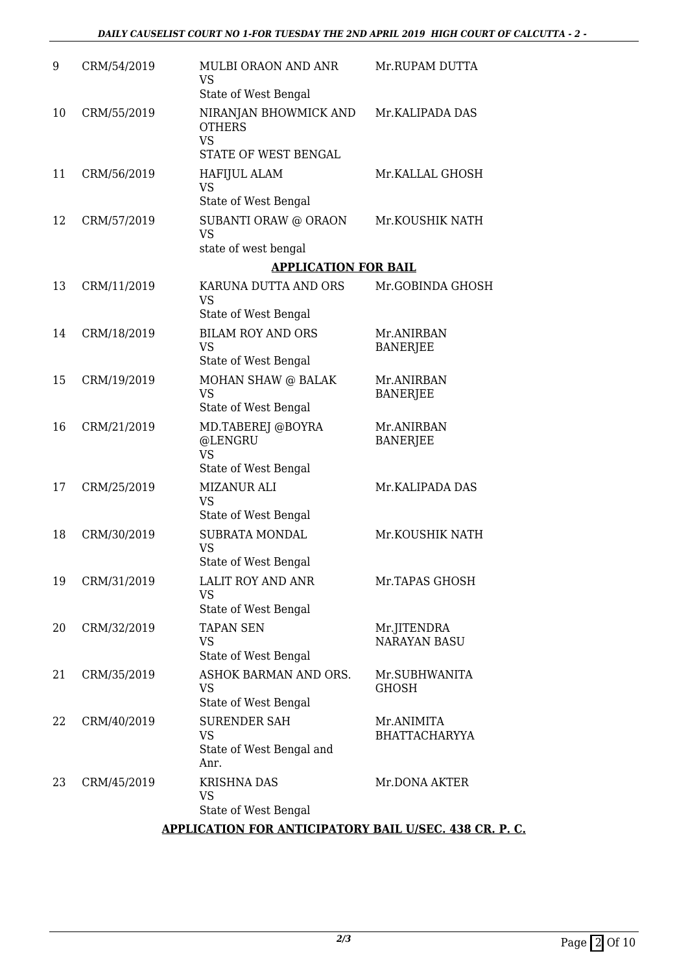| 9  | CRM/54/2019 | <b>MULBI ORAON AND ANR</b><br>VS<br>State of West Bengal                    | Mr.RUPAM DUTTA                     |
|----|-------------|-----------------------------------------------------------------------------|------------------------------------|
| 10 | CRM/55/2019 | NIRANJAN BHOWMICK AND<br><b>OTHERS</b><br><b>VS</b><br>STATE OF WEST BENGAL | Mr.KALIPADA DAS                    |
| 11 | CRM/56/2019 | <b>HAFIJUL ALAM</b><br><b>VS</b><br>State of West Bengal                    | Mr.KALLAL GHOSH                    |
| 12 | CRM/57/2019 | SUBANTI ORAW @ ORAON<br><b>VS</b><br>state of west bengal                   | Mr.KOUSHIK NATH                    |
|    |             | <b>APPLICATION FOR BAIL</b>                                                 |                                    |
| 13 | CRM/11/2019 | KARUNA DUTTA AND ORS<br><b>VS</b><br>State of West Bengal                   | Mr.GOBINDA GHOSH                   |
| 14 | CRM/18/2019 | <b>BILAM ROY AND ORS</b><br><b>VS</b><br>State of West Bengal               | Mr.ANIRBAN<br><b>BANERJEE</b>      |
| 15 | CRM/19/2019 | MOHAN SHAW @ BALAK<br><b>VS</b><br>State of West Bengal                     | Mr.ANIRBAN<br><b>BANERJEE</b>      |
| 16 | CRM/21/2019 | MD.TABEREJ @BOYRA<br>@LENGRU<br><b>VS</b><br>State of West Bengal           | Mr.ANIRBAN<br><b>BANERJEE</b>      |
| 17 | CRM/25/2019 | <b>MIZANUR ALI</b><br><b>VS</b><br>State of West Bengal                     | Mr.KALIPADA DAS                    |
| 18 | CRM/30/2019 | SUBRATA MONDAL<br><b>VS</b><br>State of West Bengal                         | Mr.KOUSHIK NATH                    |
| 19 | CRM/31/2019 | LALIT ROY AND ANR<br>VS<br>State of West Bengal                             | Mr.TAPAS GHOSH                     |
| 20 | CRM/32/2019 | <b>TAPAN SEN</b><br>VS<br>State of West Bengal                              | Mr.JITENDRA<br><b>NARAYAN BASU</b> |
| 21 | CRM/35/2019 | ASHOK BARMAN AND ORS.<br><b>VS</b><br>State of West Bengal                  | Mr.SUBHWANITA<br><b>GHOSH</b>      |
| 22 | CRM/40/2019 | <b>SURENDER SAH</b><br><b>VS</b><br>State of West Bengal and<br>Anr.        | Mr.ANIMITA<br><b>BHATTACHARYYA</b> |
| 23 | CRM/45/2019 | <b>KRISHNA DAS</b><br>VS<br>State of West Bengal                            | Mr.DONA AKTER                      |

#### **APPLICATION FOR ANTICIPATORY BAIL U/SEC. 438 CR. P. C.**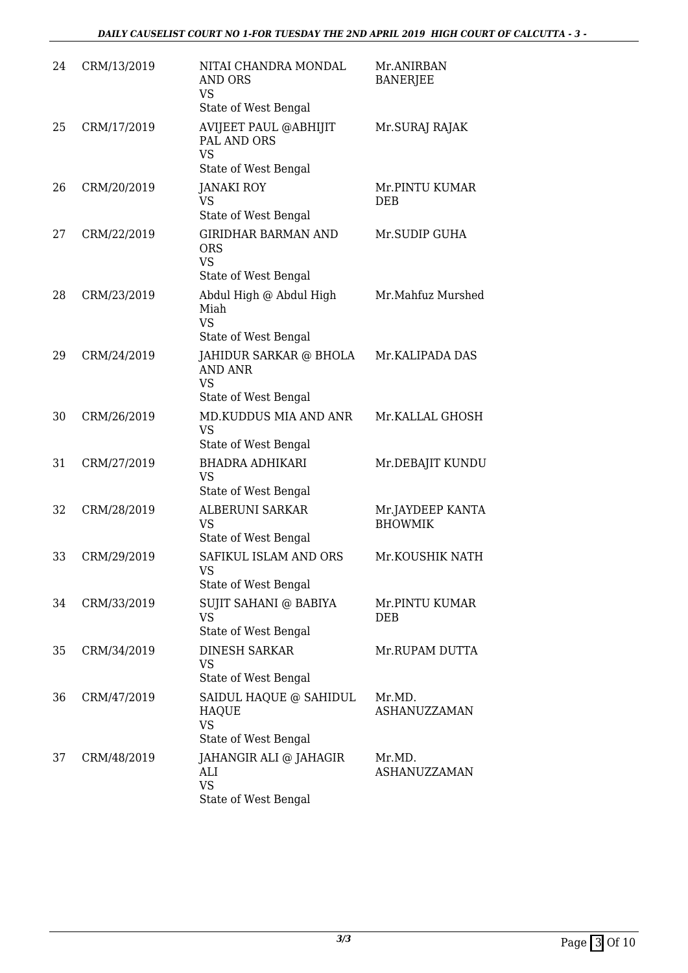| 24 | CRM/13/2019 | NITAI CHANDRA MONDAL<br>AND ORS<br><b>VS</b><br>State of West Bengal          | Mr.ANIRBAN<br><b>BANERJEE</b>      |
|----|-------------|-------------------------------------------------------------------------------|------------------------------------|
| 25 | CRM/17/2019 | AVIJEET PAUL @ABHIJIT<br>PAL AND ORS<br><b>VS</b><br>State of West Bengal     | Mr.SURAJ RAJAK                     |
| 26 | CRM/20/2019 | <b>JANAKI ROY</b><br><b>VS</b><br>State of West Bengal                        | Mr.PINTU KUMAR<br><b>DEB</b>       |
| 27 | CRM/22/2019 | <b>GIRIDHAR BARMAN AND</b><br><b>ORS</b><br><b>VS</b><br>State of West Bengal | Mr.SUDIP GUHA                      |
| 28 | CRM/23/2019 | Abdul High @ Abdul High<br>Miah<br><b>VS</b><br>State of West Bengal          | Mr.Mahfuz Murshed                  |
| 29 | CRM/24/2019 | JAHIDUR SARKAR @ BHOLA<br><b>AND ANR</b><br><b>VS</b><br>State of West Bengal | Mr.KALIPADA DAS                    |
| 30 | CRM/26/2019 | MD.KUDDUS MIA AND ANR<br><b>VS</b><br>State of West Bengal                    | Mr.KALLAL GHOSH                    |
| 31 | CRM/27/2019 | <b>BHADRA ADHIKARI</b><br><b>VS</b><br>State of West Bengal                   | Mr.DEBAJIT KUNDU                   |
| 32 | CRM/28/2019 | <b>ALBERUNI SARKAR</b><br><b>VS</b><br>State of West Bengal                   | Mr.JAYDEEP KANTA<br><b>BHOWMIK</b> |
| 33 | CRM/29/2019 | SAFIKUL ISLAM AND ORS<br>VS.<br>State of West Bengal                          | Mr.KOUSHIK NATH                    |
| 34 | CRM/33/2019 | SUJIT SAHANI @ BABIYA<br><b>VS</b><br>State of West Bengal                    | Mr.PINTU KUMAR<br>DEB              |
| 35 | CRM/34/2019 | <b>DINESH SARKAR</b><br><b>VS</b><br>State of West Bengal                     | Mr.RUPAM DUTTA                     |
| 36 | CRM/47/2019 | SAIDUL HAQUE @ SAHIDUL<br><b>HAQUE</b><br><b>VS</b><br>State of West Bengal   | Mr.MD.<br>ASHANUZZAMAN             |
| 37 | CRM/48/2019 | JAHANGIR ALI @ JAHAGIR<br>ALI<br><b>VS</b><br>State of West Bengal            | Mr.MD.<br><b>ASHANUZZAMAN</b>      |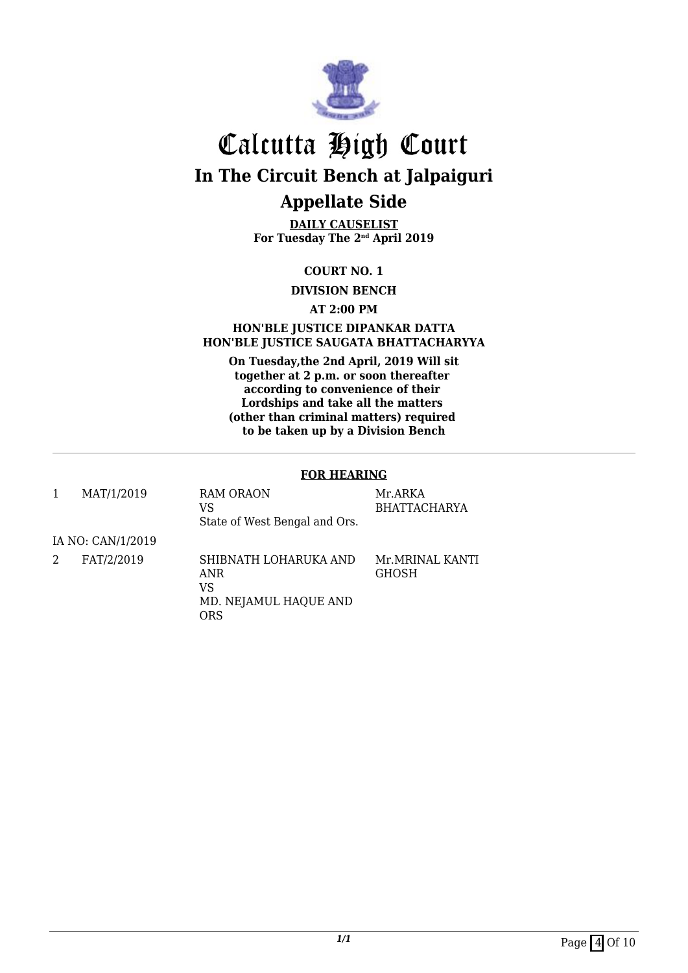

**DAILY CAUSELIST For Tuesday The 2nd April 2019**

#### **COURT NO. 1**

**DIVISION BENCH**

#### **AT 2:00 PM**

#### **HON'BLE JUSTICE DIPANKAR DATTA HON'BLE JUSTICE SAUGATA BHATTACHARYYA**

**On Tuesday,the 2nd April, 2019 Will sit together at 2 p.m. or soon thereafter according to convenience of their Lordships and take all the matters (other than criminal matters) required to be taken up by a Division Bench**

#### **FOR HEARING**

| MAT/1/2019        | RAM ORAON<br>VS<br>State of West Bengal and Ors.                          | Mr.ARKA<br><b>BHATTACHARYA</b> |
|-------------------|---------------------------------------------------------------------------|--------------------------------|
| IA NO: CAN/1/2019 |                                                                           |                                |
| FAT/2/2019        | SHIBNATH LOHARUKA AND<br>ANR<br>VS<br>MD. NEJAMUL HAQUE AND<br><b>ORS</b> | Mr.MRINAL KANTI<br>GHOSH       |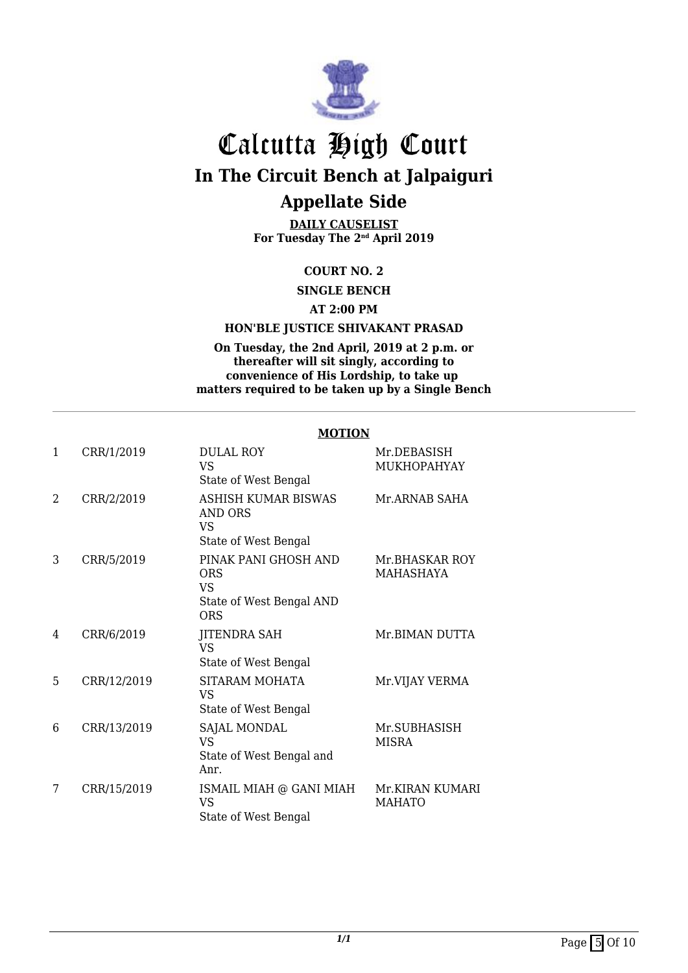

**DAILY CAUSELIST For Tuesday The 2nd April 2019**

#### **COURT NO. 2**

**SINGLE BENCH**

#### **AT 2:00 PM**

#### **HON'BLE JUSTICE SHIVAKANT PRASAD**

#### **On Tuesday, the 2nd April, 2019 at 2 p.m. or thereafter will sit singly, according to convenience of His Lordship, to take up matters required to be taken up by a Single Bench**

#### **MOTION**

| 1              | CRR/1/2019  | <b>DULAL ROY</b><br>VS.<br>State of West Bengal                       | Mr.DEBASISH<br>MUKHOPAHYAY       |
|----------------|-------------|-----------------------------------------------------------------------|----------------------------------|
| $\mathfrak{D}$ | CRR/2/2019  | ASHISH KUMAR BISWAS<br>AND ORS<br><b>VS</b><br>State of West Bengal   | Mr.ARNAB SAHA                    |
| 3              | CRR/5/2019  | PINAK PANI GHOSH AND<br>ORS<br>VS.<br>State of West Bengal AND<br>ORS | Mr.BHASKAR ROY<br>MAHASHAYA      |
| 4              | CRR/6/2019  | <b>JITENDRA SAH</b><br><b>VS</b><br>State of West Bengal              | Mr. BIMAN DUTTA                  |
| 5              | CRR/12/2019 | SITARAM MOHATA<br>VS<br>State of West Bengal                          | Mr.VIJAY VERMA                   |
| 6              | CRR/13/2019 | SAJAL MONDAL<br><b>VS</b><br>State of West Bengal and<br>Anr.         | Mr.SUBHASISH<br><b>MISRA</b>     |
| 7              | CRR/15/2019 | ISMAIL MIAH @ GANI MIAH<br><b>VS</b><br>State of West Bengal          | Mr.KIRAN KUMARI<br><b>MAHATO</b> |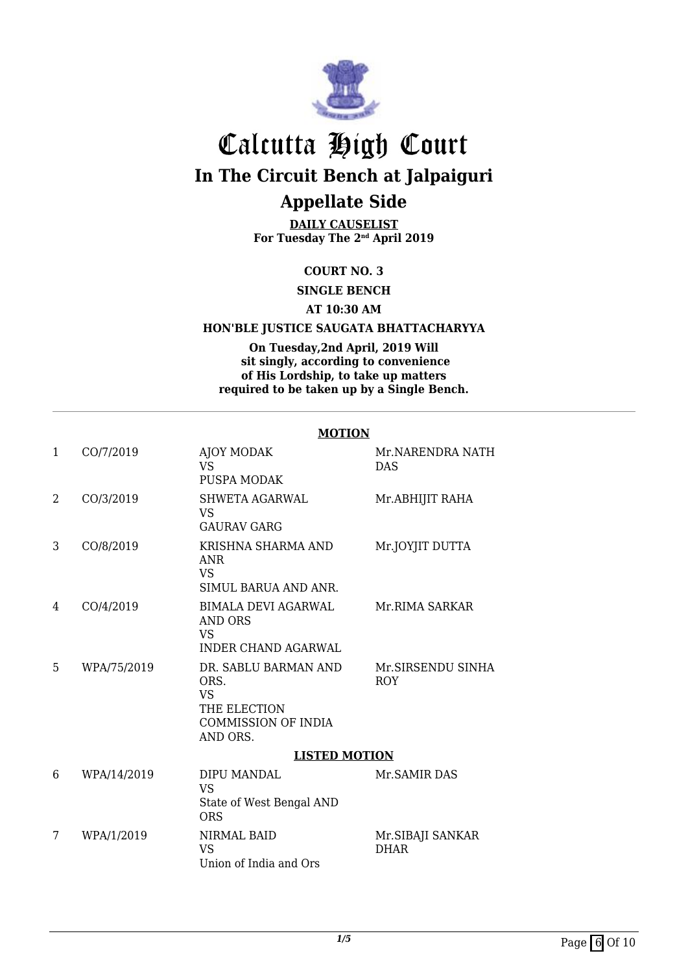

**DAILY CAUSELIST For Tuesday The 2nd April 2019**

#### **COURT NO. 3**

**SINGLE BENCH**

#### **AT 10:30 AM**

#### **HON'BLE JUSTICE SAUGATA BHATTACHARYYA**

**On Tuesday,2nd April, 2019 Will sit singly, according to convenience of His Lordship, to take up matters required to be taken up by a Single Bench.**

#### **MOTION**

| 1 | CO/7/2019   | AJOY MODAK<br>VS.<br>PUSPA MODAK                                                                    | Mr.NARENDRA NATH<br><b>DAS</b>   |
|---|-------------|-----------------------------------------------------------------------------------------------------|----------------------------------|
| 2 | CO/3/2019   | <b>SHWETA AGARWAL</b><br>VS.<br><b>GAURAV GARG</b>                                                  | Mr.ABHIJIT RAHA                  |
| 3 | CO/8/2019   | KRISHNA SHARMA AND<br><b>ANR</b><br><b>VS</b><br>SIMUL BARUA AND ANR.                               | Mr.JOYJIT DUTTA                  |
| 4 | CO/4/2019   | <b>BIMALA DEVI AGARWAL</b><br>AND ORS<br><b>VS</b><br><b>INDER CHAND AGARWAL</b>                    | Mr.RIMA SARKAR                   |
| 5 | WPA/75/2019 | DR. SABLU BARMAN AND<br>ORS.<br><b>VS</b><br>THE ELECTION<br><b>COMMISSION OF INDIA</b><br>AND ORS. | Mr.SIRSENDU SINHA<br><b>ROY</b>  |
|   |             | <b>LISTED MOTION</b>                                                                                |                                  |
| 6 | WPA/14/2019 | DIPU MANDAL<br><b>VS</b><br>State of West Bengal AND<br><b>ORS</b>                                  | Mr. SAMIR DAS                    |
| 7 | WPA/1/2019  | <b>NIRMAL BAID</b><br><b>VS</b><br>Union of India and Ors                                           | Mr. SIBAJI SANKAR<br><b>DHAR</b> |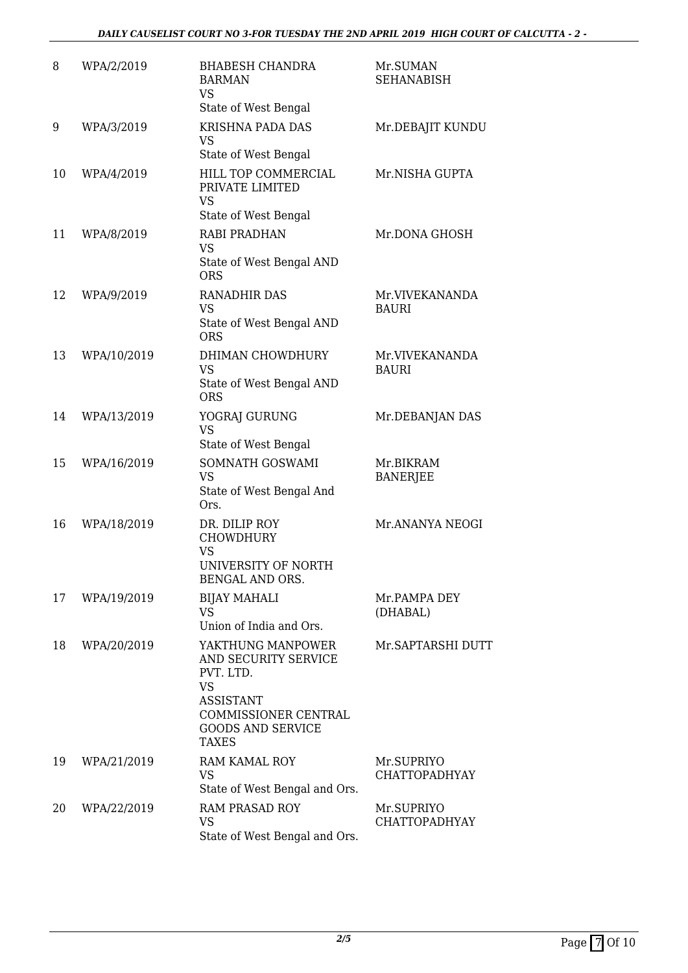| 8  | WPA/2/2019  | <b>BHABESH CHANDRA</b><br><b>BARMAN</b><br><b>VS</b><br>State of West Bengal                                                                                | Mr.SUMAN<br><b>SEHANABISH</b>      |
|----|-------------|-------------------------------------------------------------------------------------------------------------------------------------------------------------|------------------------------------|
| 9  | WPA/3/2019  | <b>KRISHNA PADA DAS</b><br><b>VS</b>                                                                                                                        | Mr.DEBAJIT KUNDU                   |
| 10 | WPA/4/2019  | State of West Bengal<br>HILL TOP COMMERCIAL<br>PRIVATE LIMITED<br><b>VS</b><br>State of West Bengal                                                         | Mr.NISHA GUPTA                     |
| 11 | WPA/8/2019  | <b>RABI PRADHAN</b><br><b>VS</b><br>State of West Bengal AND<br><b>ORS</b>                                                                                  | Mr.DONA GHOSH                      |
| 12 | WPA/9/2019  | <b>RANADHIR DAS</b><br><b>VS</b><br>State of West Bengal AND<br><b>ORS</b>                                                                                  | Mr.VIVEKANANDA<br><b>BAURI</b>     |
| 13 | WPA/10/2019 | DHIMAN CHOWDHURY<br><b>VS</b><br>State of West Bengal AND<br><b>ORS</b>                                                                                     | Mr.VIVEKANANDA<br><b>BAURI</b>     |
| 14 | WPA/13/2019 | YOGRAJ GURUNG<br><b>VS</b><br>State of West Bengal                                                                                                          | Mr.DEBANJAN DAS                    |
| 15 | WPA/16/2019 | SOMNATH GOSWAMI<br><b>VS</b><br>State of West Bengal And<br>Ors.                                                                                            | Mr.BIKRAM<br><b>BANERJEE</b>       |
| 16 | WPA/18/2019 | DR. DILIP ROY<br><b>CHOWDHURY</b><br><b>VS</b><br>UNIVERSITY OF NORTH<br>BENGAL AND ORS.                                                                    | Mr.ANANYA NEOGI                    |
| 17 | WPA/19/2019 | <b>BIJAY MAHALI</b><br><b>VS</b><br>Union of India and Ors.                                                                                                 | Mr.PAMPA DEY<br>(DHABAL)           |
| 18 | WPA/20/2019 | YAKTHUNG MANPOWER<br>AND SECURITY SERVICE<br>PVT. LTD.<br><b>VS</b><br><b>ASSISTANT</b><br>COMMISSIONER CENTRAL<br><b>GOODS AND SERVICE</b><br><b>TAXES</b> | Mr. SAPTARSHI DUTT                 |
| 19 | WPA/21/2019 | <b>RAM KAMAL ROY</b><br><b>VS</b><br>State of West Bengal and Ors.                                                                                          | Mr.SUPRIYO<br><b>CHATTOPADHYAY</b> |
| 20 | WPA/22/2019 | RAM PRASAD ROY<br><b>VS</b><br>State of West Bengal and Ors.                                                                                                | Mr.SUPRIYO<br><b>CHATTOPADHYAY</b> |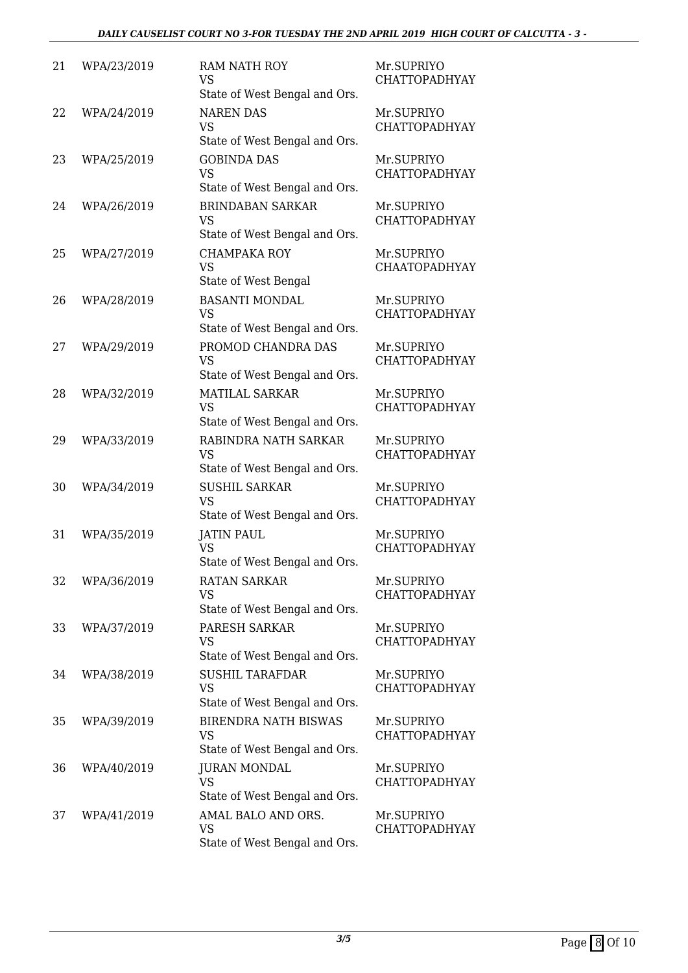| 21 | WPA/23/2019 | <b>RAM NATH ROY</b><br><b>VS</b><br>State of West Bengal and Ors.         | Mr.SUPRIYO<br><b>CHATTOPADHYAY</b> |
|----|-------------|---------------------------------------------------------------------------|------------------------------------|
| 22 | WPA/24/2019 | <b>NAREN DAS</b><br><b>VS</b><br>State of West Bengal and Ors.            | Mr.SUPRIYO<br><b>CHATTOPADHYAY</b> |
| 23 | WPA/25/2019 | <b>GOBINDA DAS</b><br><b>VS</b><br>State of West Bengal and Ors.          | Mr.SUPRIYO<br><b>CHATTOPADHYAY</b> |
| 24 | WPA/26/2019 | <b>BRINDABAN SARKAR</b><br><b>VS</b><br>State of West Bengal and Ors.     | Mr.SUPRIYO<br><b>CHATTOPADHYAY</b> |
| 25 | WPA/27/2019 | <b>CHAMPAKA ROY</b><br><b>VS</b><br>State of West Bengal                  | Mr.SUPRIYO<br><b>CHAATOPADHYAY</b> |
| 26 | WPA/28/2019 | <b>BASANTI MONDAL</b><br><b>VS</b><br>State of West Bengal and Ors.       | Mr.SUPRIYO<br><b>CHATTOPADHYAY</b> |
| 27 | WPA/29/2019 | PROMOD CHANDRA DAS<br><b>VS</b><br>State of West Bengal and Ors.          | Mr.SUPRIYO<br><b>CHATTOPADHYAY</b> |
| 28 | WPA/32/2019 | <b>MATILAL SARKAR</b><br><b>VS</b><br>State of West Bengal and Ors.       | Mr.SUPRIYO<br><b>CHATTOPADHYAY</b> |
| 29 | WPA/33/2019 | RABINDRA NATH SARKAR<br><b>VS</b><br>State of West Bengal and Ors.        | Mr.SUPRIYO<br><b>CHATTOPADHYAY</b> |
| 30 | WPA/34/2019 | <b>SUSHIL SARKAR</b><br><b>VS</b><br>State of West Bengal and Ors.        | Mr.SUPRIYO<br><b>CHATTOPADHYAY</b> |
| 31 | WPA/35/2019 | <b>JATIN PAUL</b><br><b>VS</b><br>State of West Bengal and Ors.           | Mr.SUPRIYO<br><b>CHATTOPADHYAY</b> |
| 32 | WPA/36/2019 | <b>RATAN SARKAR</b><br><b>VS</b><br>State of West Bengal and Ors.         | Mr.SUPRIYO<br><b>CHATTOPADHYAY</b> |
| 33 | WPA/37/2019 | PARESH SARKAR<br><b>VS</b><br>State of West Bengal and Ors.               | Mr.SUPRIYO<br><b>CHATTOPADHYAY</b> |
| 34 | WPA/38/2019 | <b>SUSHIL TARAFDAR</b><br><b>VS</b><br>State of West Bengal and Ors.      | Mr.SUPRIYO<br>CHATTOPADHYAY        |
| 35 | WPA/39/2019 | <b>BIRENDRA NATH BISWAS</b><br><b>VS</b><br>State of West Bengal and Ors. | Mr.SUPRIYO<br><b>CHATTOPADHYAY</b> |
| 36 | WPA/40/2019 | <b>JURAN MONDAL</b><br><b>VS</b><br>State of West Bengal and Ors.         | Mr.SUPRIYO<br><b>CHATTOPADHYAY</b> |
| 37 | WPA/41/2019 | AMAL BALO AND ORS.<br><b>VS</b><br>State of West Bengal and Ors.          | Mr.SUPRIYO<br><b>CHATTOPADHYAY</b> |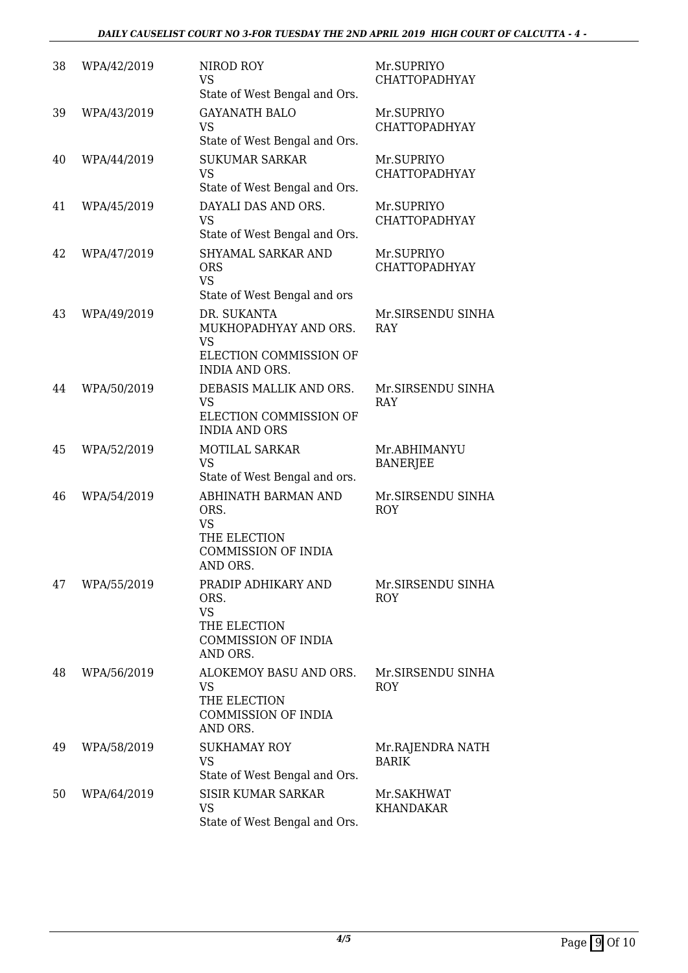| 38 | WPA/42/2019 | NIROD ROY<br><b>VS</b><br>State of West Bengal and Ors.                                            | Mr.SUPRIYO<br><b>CHATTOPADHYAY</b> |
|----|-------------|----------------------------------------------------------------------------------------------------|------------------------------------|
| 39 | WPA/43/2019 | <b>GAYANATH BALO</b><br><b>VS</b><br>State of West Bengal and Ors.                                 | Mr.SUPRIYO<br><b>CHATTOPADHYAY</b> |
| 40 | WPA/44/2019 | <b>SUKUMAR SARKAR</b><br><b>VS</b><br>State of West Bengal and Ors.                                | Mr.SUPRIYO<br><b>CHATTOPADHYAY</b> |
| 41 | WPA/45/2019 | DAYALI DAS AND ORS.<br><b>VS</b><br>State of West Bengal and Ors.                                  | Mr.SUPRIYO<br><b>CHATTOPADHYAY</b> |
| 42 | WPA/47/2019 | SHYAMAL SARKAR AND<br><b>ORS</b><br><b>VS</b><br>State of West Bengal and ors                      | Mr.SUPRIYO<br><b>CHATTOPADHYAY</b> |
| 43 | WPA/49/2019 | DR. SUKANTA<br>MUKHOPADHYAY AND ORS.<br><b>VS</b>                                                  | Mr.SIRSENDU SINHA<br>RAY           |
|    |             | ELECTION COMMISSION OF<br><b>INDIA AND ORS.</b>                                                    |                                    |
| 44 | WPA/50/2019 | DEBASIS MALLIK AND ORS.<br><b>VS</b><br>ELECTION COMMISSION OF<br><b>INDIA AND ORS</b>             | Mr.SIRSENDU SINHA<br>RAY           |
| 45 | WPA/52/2019 | <b>MOTILAL SARKAR</b><br><b>VS</b><br>State of West Bengal and ors.                                | Mr.ABHIMANYU<br><b>BANERJEE</b>    |
| 46 | WPA/54/2019 | ABHINATH BARMAN AND<br>ORS.<br><b>VS</b><br>THE ELECTION<br><b>COMMISSION OF INDIA</b><br>AND ORS. | Mr.SIRSENDU SINHA<br>ROY           |
| 47 | WPA/55/2019 | PRADIP ADHIKARY AND<br>ORS.<br><b>VS</b><br>THE ELECTION<br><b>COMMISSION OF INDIA</b><br>AND ORS. | Mr.SIRSENDU SINHA<br><b>ROY</b>    |
| 48 | WPA/56/2019 | ALOKEMOY BASU AND ORS.<br><b>VS</b><br>THE ELECTION<br><b>COMMISSION OF INDIA</b><br>AND ORS.      | Mr.SIRSENDU SINHA<br><b>ROY</b>    |
| 49 | WPA/58/2019 | <b>SUKHAMAY ROY</b><br><b>VS</b><br>State of West Bengal and Ors.                                  | Mr.RAJENDRA NATH<br><b>BARIK</b>   |
| 50 | WPA/64/2019 | <b>SISIR KUMAR SARKAR</b><br><b>VS</b><br>State of West Bengal and Ors.                            | Mr.SAKHWAT<br>KHANDAKAR            |